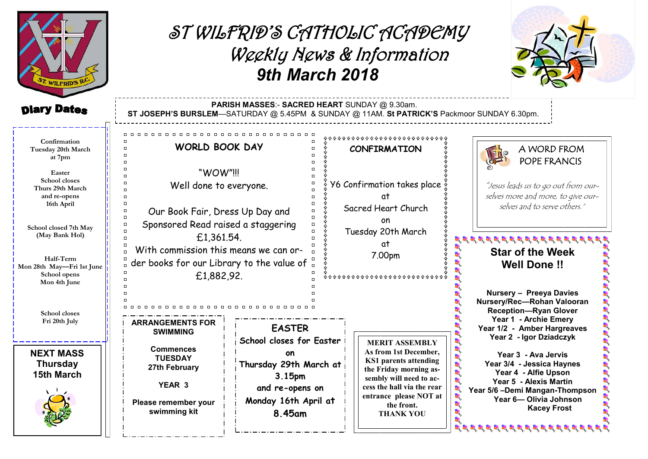